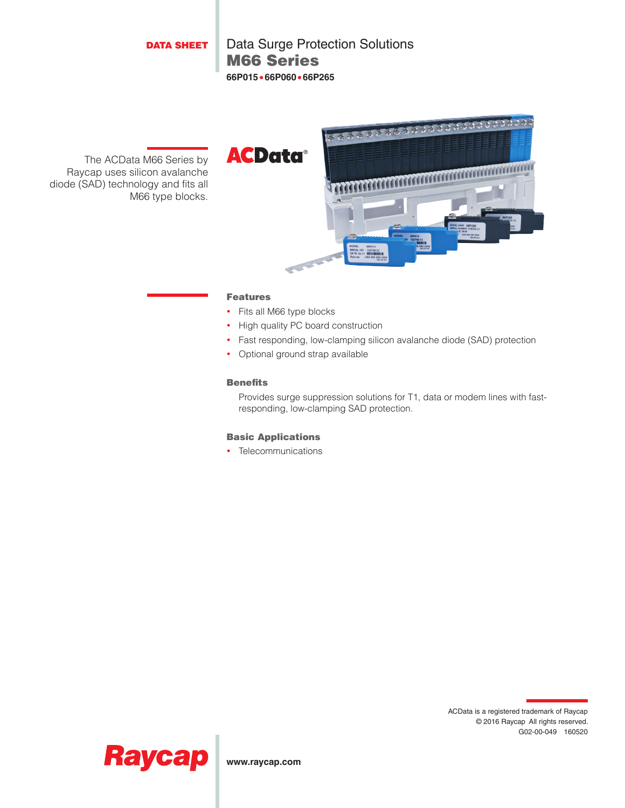DATA SHEET

M66 Series Data Surge Protection Solutions **66P015**•**66P060**•**66P265**

The ACData M66 Series by Raycap uses silicon avalanche diode (SAD) technology and fits all M66 type blocks.



## Features

- Fits all M66 type blocks
- High quality PC board construction
- Fast responding, low-clamping silicon avalanche diode (SAD) protection
- Optional ground strap available

## Benefits

Provides surge suppression solutions for T1, data or modem lines with fastresponding, low-clamping SAD protection.

## Basic Applications

• Telecommunications





**www.raycap.com**